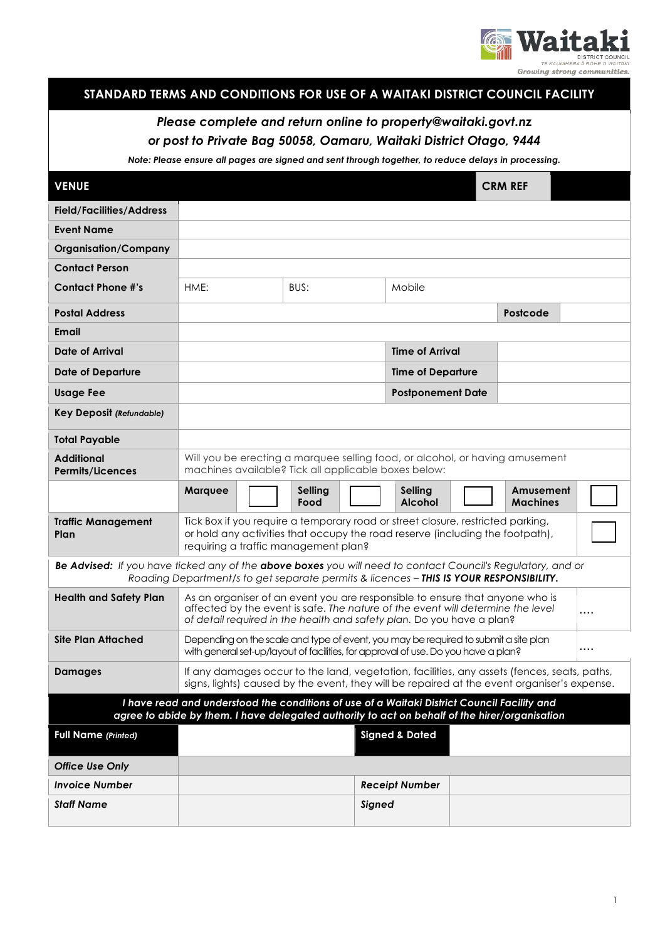

|  | STANDARD TERMS AND CONDITIONS FOR USE OF A WAITAKI DISTRICT COUNCIL FACILITY |
|--|------------------------------------------------------------------------------|
|  |                                                                              |

# *Please complete and return online to property@waitaki.govt.nz or post to Private Bag 50058, Oamaru, Waitaki District Otago, 9444*

*Note: Please ensure all pages are signed and sent through together, to reduce delays in processing.*

| <b>VENUE</b>                                                                                                                                                                                          |                                                                                                                                                                                                                                               |                 |                                  | <b>CRM REF</b>           |                              |  |  |
|-------------------------------------------------------------------------------------------------------------------------------------------------------------------------------------------------------|-----------------------------------------------------------------------------------------------------------------------------------------------------------------------------------------------------------------------------------------------|-----------------|----------------------------------|--------------------------|------------------------------|--|--|
| <b>Field/Facilities/Address</b>                                                                                                                                                                       |                                                                                                                                                                                                                                               |                 |                                  |                          |                              |  |  |
| <b>Event Name</b>                                                                                                                                                                                     |                                                                                                                                                                                                                                               |                 |                                  |                          |                              |  |  |
| <b>Organisation/Company</b>                                                                                                                                                                           |                                                                                                                                                                                                                                               |                 |                                  |                          |                              |  |  |
| <b>Contact Person</b>                                                                                                                                                                                 |                                                                                                                                                                                                                                               |                 |                                  |                          |                              |  |  |
| <b>Contact Phone #'s</b>                                                                                                                                                                              | HME:                                                                                                                                                                                                                                          | BUS:            | Mobile                           |                          |                              |  |  |
| <b>Postal Address</b>                                                                                                                                                                                 |                                                                                                                                                                                                                                               |                 |                                  |                          | Postcode                     |  |  |
| Email                                                                                                                                                                                                 |                                                                                                                                                                                                                                               |                 |                                  |                          |                              |  |  |
| <b>Date of Arrival</b>                                                                                                                                                                                |                                                                                                                                                                                                                                               |                 | <b>Time of Arrival</b>           |                          |                              |  |  |
| <b>Date of Departure</b>                                                                                                                                                                              |                                                                                                                                                                                                                                               |                 |                                  | <b>Time of Departure</b> |                              |  |  |
| <b>Usage Fee</b>                                                                                                                                                                                      |                                                                                                                                                                                                                                               |                 |                                  | <b>Postponement Date</b> |                              |  |  |
| <b>Key Deposit (Refundable)</b>                                                                                                                                                                       |                                                                                                                                                                                                                                               |                 |                                  |                          |                              |  |  |
| <b>Total Payable</b>                                                                                                                                                                                  |                                                                                                                                                                                                                                               |                 |                                  |                          |                              |  |  |
| <b>Additional</b><br><b>Permits/Licences</b>                                                                                                                                                          | Will you be erecting a marquee selling food, or alcohol, or having amusement<br>machines available? Tick all applicable boxes below:                                                                                                          |                 |                                  |                          |                              |  |  |
|                                                                                                                                                                                                       | Marquee                                                                                                                                                                                                                                       | Selling<br>Food | <b>Selling</b><br><b>Alcohol</b> |                          | Amusement<br><b>Machines</b> |  |  |
| <b>Traffic Management</b><br>Plan                                                                                                                                                                     | Tick Box if you require a temporary road or street closure, restricted parking,<br>or hold any activities that occupy the road reserve (including the footpath),<br>requiring a traffic management plan?                                      |                 |                                  |                          |                              |  |  |
| Be Advised: If you have ticked any of the above boxes you will need to contact Council's Regulatory, and or<br>Roading Department/s to get separate permits & licences - THIS IS YOUR RESPONSIBILITY. |                                                                                                                                                                                                                                               |                 |                                  |                          |                              |  |  |
| <b>Health and Safety Plan</b>                                                                                                                                                                         | As an organiser of an event you are responsible to ensure that anyone who is<br>affected by the event is safe. The nature of the event will determine the level<br>.<br>of detail required in the health and safety plan. Do you have a plan? |                 |                                  |                          |                              |  |  |
| <b>Site Plan Attached</b>                                                                                                                                                                             | Depending on the scale and type of event, you may be required to submit a site plan<br>$\cdots$<br>with general set-up/layout of facilities, for approval of use. Do you have a plan?                                                         |                 |                                  |                          |                              |  |  |
| <b>Damages</b>                                                                                                                                                                                        | If any damages occur to the land, vegetation, facilities, any assets (fences, seats, paths,<br>signs, lights) caused by the event, they will be repaired at the event organiser's expense.                                                    |                 |                                  |                          |                              |  |  |
| I have read and understood the conditions of use of a Waitaki District Council Facility and<br>agree to abide by them. I have delegated authority to act on behalf of the hirer/organisation          |                                                                                                                                                                                                                                               |                 |                                  |                          |                              |  |  |
| <b>Full Name (Printed)</b>                                                                                                                                                                            |                                                                                                                                                                                                                                               |                 | <b>Signed &amp; Dated</b>        |                          |                              |  |  |
| <b>Office Use Only</b>                                                                                                                                                                                |                                                                                                                                                                                                                                               |                 |                                  |                          |                              |  |  |
| <b>Invoice Number</b>                                                                                                                                                                                 |                                                                                                                                                                                                                                               |                 | <b>Receipt Number</b>            |                          |                              |  |  |
| <b>Staff Name</b>                                                                                                                                                                                     |                                                                                                                                                                                                                                               |                 | Signed                           |                          |                              |  |  |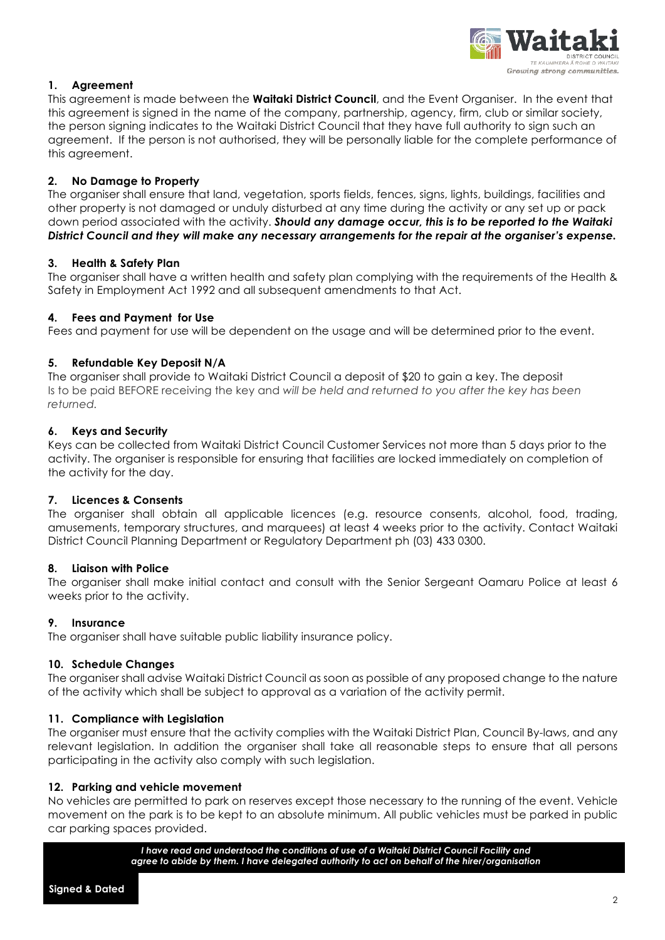

# **1. Agreement**

This agreement is made between the **Waitaki District Council**, and the Event Organiser. In the event that this agreement is signed in the name of the company, partnership, agency, firm, club or similar society, the person signing indicates to the Waitaki District Council that they have full authority to sign such an agreement. If the person is not authorised, they will be personally liable for the complete performance of this agreement.

# **2. No Damage to Property**

The organiser shall ensure that land, vegetation, sports fields, fences, signs, lights, buildings, facilities and other property is not damaged or unduly disturbed at any time during the activity or any set up or pack down period associated with the activity. *Should any damage occur, this is to be reported to the Waitaki District Council and they will make any necessary arrangements for the repair at the organiser's expense.*

# **3. Health & Safety Plan**

The organiser shall have a written health and safety plan complying with the requirements of the Health & Safety in Employment Act 1992 and all subsequent amendments to that Act.

# **4. Fees and Payment for Use**

Fees and payment for use will be dependent on the usage and will be determined prior to the event.

# **5. Refundable Key Deposit N/A**

The organiser shall provide to Waitaki District Council a deposit of \$20 to gain a key. The deposit Is to be paid BEFORE receiving the key and *will be held and returned to you after the key has been returned.*

# **6. Keys and Security**

Keys can be collected from Waitaki District Council Customer Services not more than 5 days prior to the activity. The organiser is responsible for ensuring that facilities are locked immediately on completion of the activity for the day.

# **7. Licences & Consents**

The organiser shall obtain all applicable licences (e.g. resource consents, alcohol, food, trading, amusements, temporary structures, and marquees) at least 4 weeks prior to the activity. Contact Waitaki District Council Planning Department or Regulatory Department ph (03) 433 0300.

# **8. Liaison with Police**

The organiser shall make initial contact and consult with the Senior Sergeant Oamaru Police at least 6 weeks prior to the activity.

# **9. Insurance**

The organiser shall have suitable public liability insurance policy.

# **10. Schedule Changes**

The organiser shall advise Waitaki District Council as soon as possible of any proposed change to the nature of the activity which shall be subject to approval as a variation of the activity permit.

# **11. Compliance with Legislation**

The organiser must ensure that the activity complies with the Waitaki District Plan, Council By-laws, and any relevant legislation. In addition the organiser shall take all reasonable steps to ensure that all persons participating in the activity also comply with such legislation.

# **12. Parking and vehicle movement**

No vehicles are permitted to park on reserves except those necessary to the running of the event. Vehicle movement on the park is to be kept to an absolute minimum. All public vehicles must be parked in public car parking spaces provided.

> *I have read and understood the conditions of use of a Waitaki District Council Facility and agree to abide by them. I have delegated authority to act on behalf of the hirer/organisation*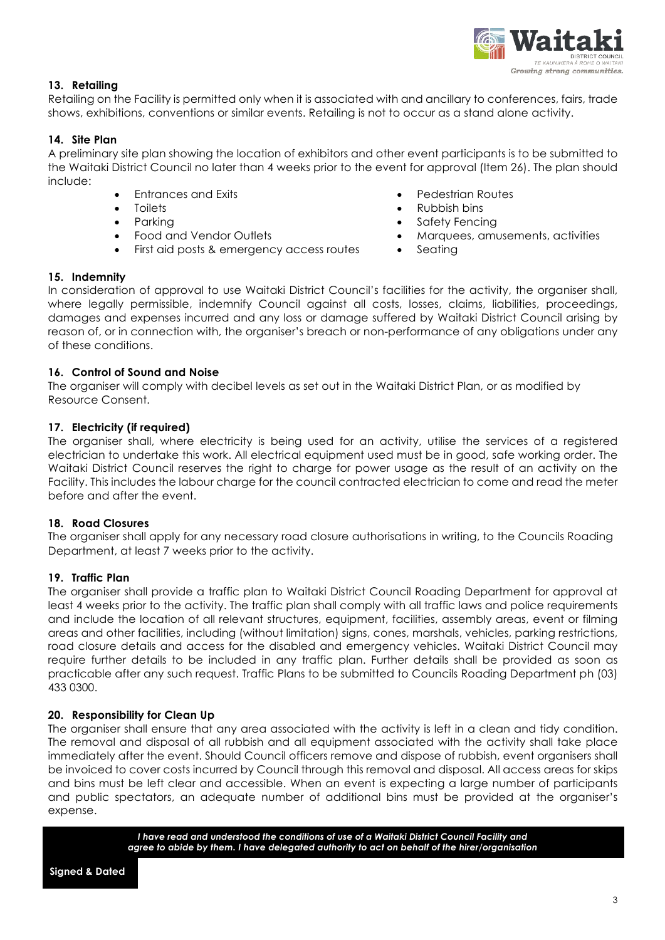

# **13. Retailing**

Retailing on the Facility is permitted only when it is associated with and ancillary to conferences, fairs, trade shows, exhibitions, conventions or similar events. Retailing is not to occur as a stand alone activity.

# **14. Site Plan**

A preliminary site plan showing the location of exhibitors and other event participants is to be submitted to the Waitaki District Council no later than 4 weeks prior to the event for approval (Item 26). The plan should include:

- 
- 
- 
- 
- First aid posts & emergency access routes Seating
- Entrances and Exits Pedestrian Routes
- Toilets Rubbish bins
	- Parking Safety Fencing
- Food and Vendor Outlets  **Marquees**, amusements, activities
	-

#### **15. Indemnity**

In consideration of approval to use Waitaki District Council's facilities for the activity, the organiser shall, where legally permissible, indemnify Council against all costs, losses, claims, liabilities, proceedings, damages and expenses incurred and any loss or damage suffered by Waitaki District Council arising by reason of, or in connection with, the organiser's breach or non-performance of any obligations under any of these conditions.

# **16. Control of Sound and Noise**

The organiser will comply with decibel levels as set out in the Waitaki District Plan, or as modified by Resource Consent.

# **17. Electricity (if required)**

The organiser shall, where electricity is being used for an activity, utilise the services of a registered electrician to undertake this work. All electrical equipment used must be in good, safe working order. The Waitaki District Council reserves the right to charge for power usage as the result of an activity on the Facility. This includes the labour charge for the council contracted electrician to come and read the meter before and after the event.

# **18. Road Closures**

The organiser shall apply for any necessary road closure authorisations in writing, to the Councils Roading Department, at least 7 weeks prior to the activity.

# **19. Traffic Plan**

The organiser shall provide a traffic plan to Waitaki District Council Roading Department for approval at least 4 weeks prior to the activity. The traffic plan shall comply with all traffic laws and police requirements and include the location of all relevant structures, equipment, facilities, assembly areas, event or filming areas and other facilities, including (without limitation) signs, cones, marshals, vehicles, parking restrictions, road closure details and access for the disabled and emergency vehicles. Waitaki District Council may require further details to be included in any traffic plan. Further details shall be provided as soon as practicable after any such request. Traffic Plans to be submitted to Councils Roading Department ph (03) 433 0300.

# **20. Responsibility for Clean Up**

The organiser shall ensure that any area associated with the activity is left in a clean and tidy condition. The removal and disposal of all rubbish and all equipment associated with the activity shall take place immediately after the event. Should Council officers remove and dispose of rubbish, event organisers shall be invoiced to cover costs incurred by Council through this removal and disposal. All access areas for skips and bins must be left clear and accessible. When an event is expecting a large number of participants and public spectators, an adequate number of additional bins must be provided at the organiser's expense.

> *I have read and understood the conditions of use of a Waitaki District Council Facility and agree to abide by them. I have delegated authority to act on behalf of the hirer/organisation*